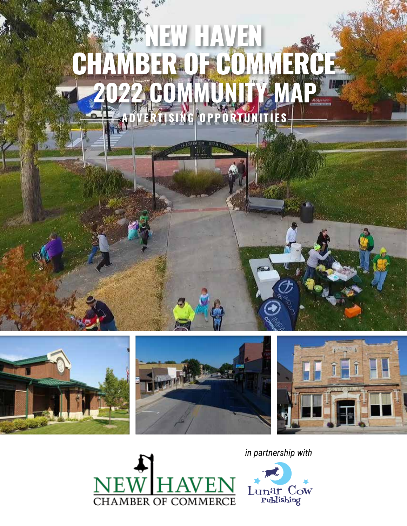











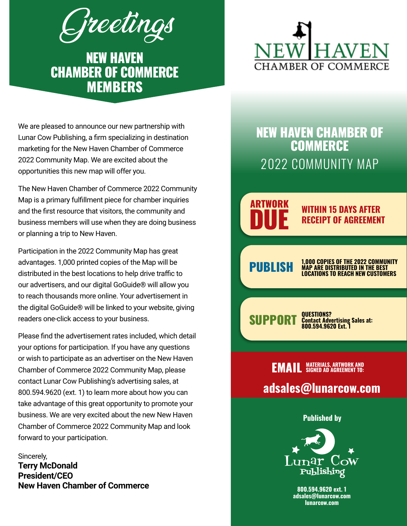Greetings

NEW HAVEN CHAMBER OF COMMERCE MEMBERS

We are pleased to announce our new partnership with Lunar Cow Publishing, a firm specializing in destination marketing for the New Haven Chamber of Commerce 2022 Community Map. We are excited about the opportunities this new map will offer you.

The New Haven Chamber of Commerce 2022 Community Map is a primary fulfillment piece for chamber inquiries and the first resource that visitors, the community and business members will use when they are doing business or planning a trip to New Haven.

Participation in the 2022 Community Map has great advantages. 1,000 printed copies of the Map will be distributed in the best locations to help drive traffic to our advertisers, and our digital GoGuide® will allow you to reach thousands more online. Your advertisement in the digital GoGuide® will be linked to your website, giving readers one-click access to your business.

Please find the advertisement rates included, which detail your options for participation. If you have any questions or wish to participate as an advertiser on the New Haven Chamber of Commerce 2022 Community Map, please contact Lunar Cow Publishing's advertising sales, at 800.594.9620 (ext. 1) to learn more about how you can take advantage of this great opportunity to promote your business. We are very excited about the new New Haven Chamber of Commerce 2022 Community Map and look forward to your participation.

Sincerely, **Terry McDonald President/CEO New Haven Chamber of Commerce**

# MBER OF COMM

### NEW HAVEN CHAMBER OF **COMMERCE** 2022 COMMUNITY MAP

### ARTWORK

**DUE** WITHIN 15 DAYS AFTER RECEIPT OF AGREEMENT

**PUBLISH MAP ARE DISTRIBUTED IN THE BEST**<br>**MAP ARE DISTRIBUTED IN THE BEST**<br>COLORATIONS TO REACH NEW CUSTOMERS LOCATIONS TO REACH NEW CUSTOMERS

 $\text{SUPPORT}_{\text{sontest} \atop \text{R00 594 9620 Fxt 1}}^{\text{QUESTIONS2}}$ 800.594.9620 Ext. 1

#### **EMAIL** MATERIALS, ARTWORK AND adsales@lunarcow.com SIGNED AD AGREEMENT TO:

Published by



800.594.9620 ext. 1 adsales@lunarcow.com lunarcow.com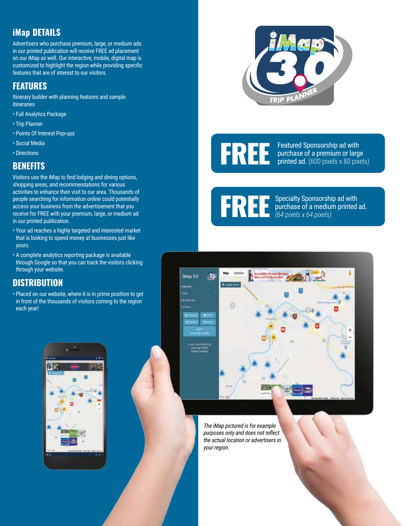### iMap DETAILS

Advertisers who purchase premium, large, or medium ads in our printed publication will receive FREE ad placement on our iMap as well. Our interactive, mobile, digital map is customized to highlight the region while providing specific features that are of interest to our visitors.

#### FEATURES

Itinerary builder with planning features and sample itineraries

- Full Analytics Package
- Trip Planner
- Points Of Interest Pop-ups
- Social Media
- Directions

#### **BENEFITS**

Visitors use the iMap to find lodging and dining options, shopping areas, and recommendations for various activities to enhance their visit to our area. Thousands of people searching for information online could potentially access your business from the advertisement that you receive for FREE with your premium, large, or medium ad in our printed publication.

- Your ad reaches a highly targeted and interested market that is looking to spend money at businesses just like yours.
- A complete analytics reporting package is available through Google so that you can track the visitors clicking through your website.

#### **DISTRIBUTION**

• Placed on our website, where it is in prime position to get in front of the thousands of visitors coming to the region each year!





FREE Featured Sponsorship ad with<br>purchase of a premium or large<br>printed ad. (600 pixels x 80 pixe purchase of a premium or large printed ad. (600 pixels x 80 pixels)

**FREE** Specialty Sponsorship ad with<br>  $(64$  pixels x 64 pixels) purchase of a medium printed ad. *(64 pixels x 64 pixels)*



*The iMap pictured is for example purposes only and does not reflect the actual location or advertisers in your region.*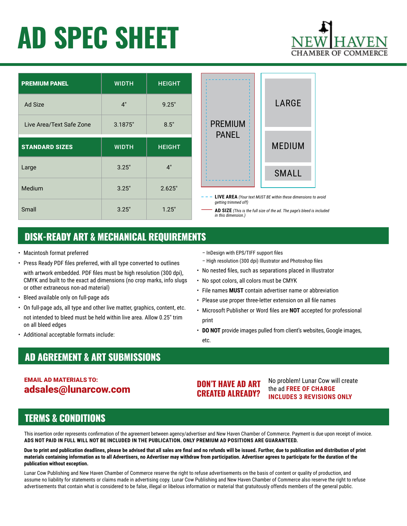## AD SPEC SHEET

| <b>PREMIUM PANEL</b>     | <b>WIDTH</b> | <b>HEIGHT</b> |
|--------------------------|--------------|---------------|
| <b>Ad Size</b>           | 4"           | 9.25"         |
| Live Area/Text Safe Zone | 3.1875"      | 8.5"          |
| <b>STANDARD SIZES</b>    | <b>WIDTH</b> | <b>HEIGHT</b> |
| Large                    | 3.25"        | 4"            |
| Medium                   | 3.25"        | 2.625"        |
| Small                    | 3.25"        | 1.25"         |



 **LIVE AREA** *(Your text MUST BE within these dimensions to avoid getting trimmed off)*

 **AD SIZE** *(This is the full size of the ad. The page's bleed is included in this dimension.)*

#### DISK-READY ART & MECHANICAL REQUIREMENTS

- Macintosh format preferred
- Press Ready PDF files preferred, with all type converted to outlines
- with artwork embedded. PDF files must be high resolution (300 dpi), CMYK and built to the exact ad dimensions (no crop marks, info slugs or other extraneous non-ad material)
- Bleed available only on full-page ads
- On full-page ads, all type and other live matter, graphics, content, etc. not intended to bleed must be held within live area. Allow 0.25" trim on all bleed edges
- Additional acceptable formats include:
- InDesign with EPS/TIFF support files
- High resolution (300 dpi) Illustrator and Photoshop files
- No nested files, such as separations placed in Illustrator
- No spot colors, all colors must be CMYK
- File names **MUST** contain advertiser name or abbreviation
- Please use proper three-letter extension on all file names
- Microsoft Publisher or Word files are **NOT** accepted for professional print
- **DO NOT** provide images pulled from client's websites, Google images, etc.

#### AD AGREEMENT & ART SUBMISSIONS

#### EMAIL AD MATERIALS TO: adsales@lunarcow.com

#### DON'T HAVE AD ART CREATED ALREADY?

No problem! Lunar Cow will create the ad **FREE OF CHARGE INCLUDES 3 REVISIONS ONLY**

#### TERMS & CONDITIONS

This insertion order represents confirmation of the agreement between agency/advertiser and New Haven Chamber of Commerce. Payment is due upon receipt of invoice. **ADS NOT PAID IN FULL WILL NOT BE INCLUDED IN THE PUBLICATION. ONLY PREMIUM AD POSITIONS ARE GUARANTEED.**

**Due to print and publication deadlines, please be advised that all sales are final and no refunds will be issued. Further, due to publication and distribution of print materials containing information as to all Advertisers, no Advertiser may withdraw from participation. Advertiser agrees to participate for the duration of the publication without exception.**

Lunar Cow Publishing and New Haven Chamber of Commerce reserve the right to refuse advertisements on the basis of content or quality of production, and assume no liability for statements or claims made in advertising copy. Lunar Cow Publishing and New Haven Chamber of Commerce also reserve the right to refuse advertisements that contain what is considered to be false, illegal or libelous information or material that gratuitously offends members of the general public.

## MBER OF COMN